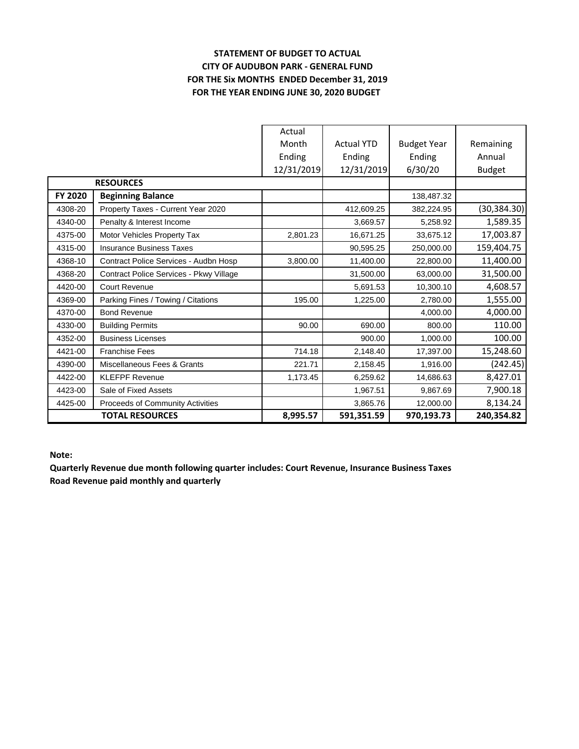## **STATEMENT OF BUDGET TO ACTUAL CITY OF AUDUBON PARK - GENERAL FUND FOR THE Six MONTHS ENDED December 31, 2019 FOR THE YEAR ENDING JUNE 30, 2020 BUDGET**

|                        |                                         | Actual     |                   |                    |               |
|------------------------|-----------------------------------------|------------|-------------------|--------------------|---------------|
|                        |                                         | Month      | <b>Actual YTD</b> | <b>Budget Year</b> | Remaining     |
|                        |                                         | Ending     | Ending            | Ending             | Annual        |
|                        |                                         | 12/31/2019 | 12/31/2019        | 6/30/20            | <b>Budget</b> |
|                        | <b>RESOURCES</b>                        |            |                   |                    |               |
| FY 2020                | <b>Beginning Balance</b>                |            |                   | 138,487.32         |               |
| 4308-20                | Property Taxes - Current Year 2020      |            | 412,609.25        | 382,224.95         | (30, 384.30)  |
| 4340-00                | Penalty & Interest Income               |            | 3,669.57          | 5,258.92           | 1,589.35      |
| 4375-00                | Motor Vehicles Property Tax             | 2,801.23   | 16,671.25         | 33,675.12          | 17,003.87     |
| 4315-00                | <b>Insurance Business Taxes</b>         |            | 90,595.25         | 250,000.00         | 159,404.75    |
| 4368-10                | Contract Police Services - Audbn Hosp   | 3,800.00   | 11,400.00         | 22,800.00          | 11,400.00     |
| 4368-20                | Contract Police Services - Pkwy Village |            | 31,500.00         | 63,000.00          | 31,500.00     |
| 4420-00                | Court Revenue                           |            | 5,691.53          | 10,300.10          | 4,608.57      |
| 4369-00                | Parking Fines / Towing / Citations      | 195.00     | 1,225.00          | 2.780.00           | 1,555.00      |
| 4370-00                | <b>Bond Revenue</b>                     |            |                   | 4,000.00           | 4,000.00      |
| 4330-00                | <b>Building Permits</b>                 | 90.00      | 690.00            | 800.00             | 110.00        |
| 4352-00                | <b>Business Licenses</b>                |            | 900.00            | 1,000.00           | 100.00        |
| 4421-00                | <b>Franchise Fees</b>                   | 714.18     | 2,148.40          | 17,397.00          | 15,248.60     |
| 4390-00                | Miscellaneous Fees & Grants             | 221.71     | 2,158.45          | 1.916.00           | (242.45)      |
| 4422-00                | <b>KLEFPF Revenue</b>                   | 1,173.45   | 6,259.62          | 14,686.63          | 8,427.01      |
| 4423-00                | Sale of Fixed Assets                    |            | 1,967.51          | 9,867.69           | 7,900.18      |
| 4425-00                | Proceeds of Community Activities        |            | 3,865.76          | 12,000.00          | 8,134.24      |
| <b>TOTAL RESOURCES</b> |                                         | 8,995.57   | 591,351.59        | 970,193.73         | 240,354.82    |

**Note:**

**Quarterly Revenue due month following quarter includes: Court Revenue, Insurance Business Taxes Road Revenue paid monthly and quarterly**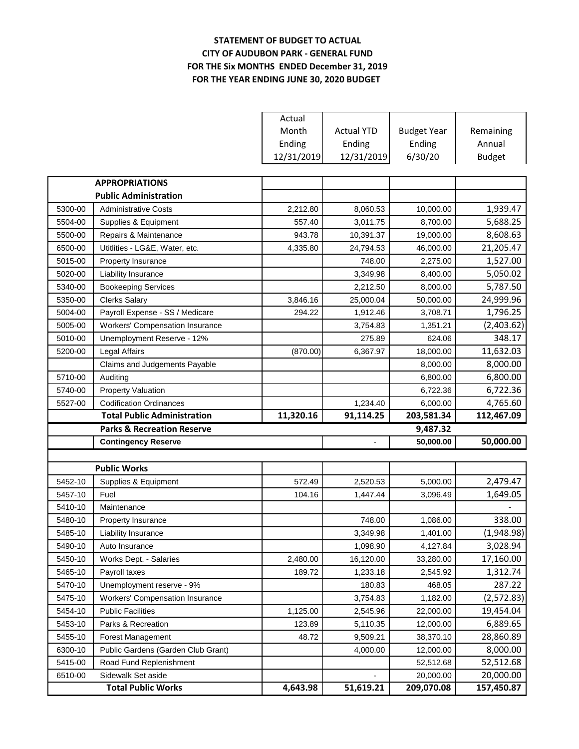## **STATEMENT OF BUDGET TO ACTUAL CITY OF AUDUBON PARK - GENERAL FUND FOR THE Six MONTHS ENDED December 31, 2019 FOR THE YEAR ENDING JUNE 30, 2020 BUDGET**

|         |                                       | Actual     |                   |                    |               |
|---------|---------------------------------------|------------|-------------------|--------------------|---------------|
|         |                                       | Month      | <b>Actual YTD</b> | <b>Budget Year</b> | Remaining     |
|         |                                       | Ending     | Ending            | Ending             | Annual        |
|         |                                       | 12/31/2019 | 12/31/2019        | 6/30/20            | <b>Budget</b> |
|         |                                       |            |                   |                    |               |
|         | <b>APPROPRIATIONS</b>                 |            |                   |                    |               |
|         | <b>Public Administration</b>          |            |                   |                    |               |
| 5300-00 | <b>Administrative Costs</b>           | 2,212.80   | 8,060.53          | 10,000.00          | 1,939.47      |
| 5504-00 | Supplies & Equipment                  | 557.40     | 3,011.75          | 8,700.00           | 5,688.25      |
| 5500-00 | Repairs & Maintenance                 | 943.78     | 10,391.37         | 19,000.00          | 8,608.63      |
| 6500-00 | Utitlities - LG&E, Water, etc.        | 4,335.80   | 24,794.53         | 46,000.00          | 21,205.47     |
| 5015-00 | Property Insurance                    |            | 748.00            | 2,275.00           | 1,527.00      |
| 5020-00 | Liability Insurance                   |            | 3,349.98          | 8,400.00           | 5,050.02      |
| 5340-00 | <b>Bookeeping Services</b>            |            | 2,212.50          | 8,000.00           | 5,787.50      |
| 5350-00 | <b>Clerks Salary</b>                  | 3,846.16   | 25,000.04         | 50,000.00          | 24,999.96     |
| 5004-00 | Payroll Expense - SS / Medicare       | 294.22     | 1,912.46          | 3,708.71           | 1,796.25      |
| 5005-00 | Workers' Compensation Insurance       |            | 3,754.83          | 1,351.21           | (2,403.62)    |
| 5010-00 | Unemployment Reserve - 12%            |            | 275.89            | 624.06             | 348.17        |
| 5200-00 | Legal Affairs                         | (870.00)   | 6,367.97          | 18,000.00          | 11,632.03     |
|         | Claims and Judgements Payable         |            |                   | 8,000.00           | 8,000.00      |
| 5710-00 | Auditing                              |            |                   | 6,800.00           | 6,800.00      |
| 5740-00 | <b>Property Valuation</b>             |            |                   | 6,722.36           | 6,722.36      |
| 5527-00 | <b>Codification Ordinances</b>        |            | 1,234.40          | 6,000.00           | 4,765.60      |
|         | <b>Total Public Administration</b>    | 11,320.16  | 91,114.25         | 203,581.34         | 112,467.09    |
|         | <b>Parks &amp; Recreation Reserve</b> |            |                   | 9,487.32           |               |
|         | <b>Contingency Reserve</b>            |            |                   | 50,000.00          | 50,000.00     |
|         |                                       |            |                   |                    |               |
|         | <b>Public Works</b>                   |            |                   |                    |               |
| 5452-10 | Supplies & Equipment                  | 572.49     | 2,520.53          | 5,000.00           | 2,479.47      |
| 5457-10 | Fuel                                  | 104.16     | 1,447.44          | 3,096.49           | 1,649.05      |
| 5410-10 | Maintenance                           |            |                   |                    |               |
| 5480-10 | Property Insurance                    |            | 748.00            | 1,086.00           | 338.00        |
| 5485-10 | Liability Insurance                   |            | 3,349.98          | 1,401.00           | (1,948.98)    |
| 5490-10 | Auto Insurance                        |            | 1,098.90          | 4,127.84           | 3,028.94      |
| 5450-10 | Works Dept. - Salaries                | 2,480.00   | 16,120.00         | 33,280.00          | 17,160.00     |
| 5465-10 | Payroll taxes                         | 189.72     | 1,233.18          | 2,545.92           | 1,312.74      |
| 5470-10 | Unemployment reserve - 9%             |            | 180.83            | 468.05             | 287.22        |
| 5475-10 | Workers' Compensation Insurance       |            | 3,754.83          | 1,182.00           | (2,572.83)    |
| 5454-10 | <b>Public Facilities</b>              | 1,125.00   | 2,545.96          | 22,000.00          | 19,454.04     |
| 5453-10 | Parks & Recreation                    | 123.89     | 5,110.35          | 12,000.00          | 6,889.65      |
| 5455-10 | Forest Management                     | 48.72      | 9,509.21          | 38,370.10          | 28,860.89     |
| 6300-10 | Public Gardens (Garden Club Grant)    |            | 4,000.00          | 12,000.00          | 8,000.00      |
| 5415-00 | Road Fund Replenishment               |            |                   | 52,512.68          | 52,512.68     |
| 6510-00 | Sidewalk Set aside                    |            |                   | 20,000.00          | 20,000.00     |
|         | <b>Total Public Works</b>             | 4,643.98   | 51,619.21         | 209,070.08         | 157,450.87    |